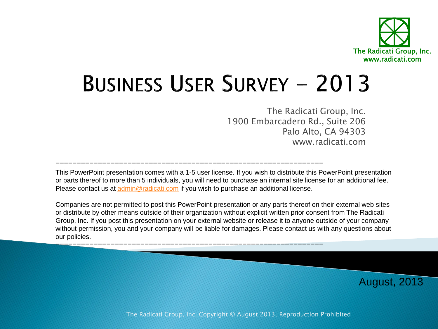

# **BUSINESS USER SURVEY - 2013**

The Radicati Group, Inc. 1900 Embarcadero Rd., Suite 206 Palo Alto, CA 94303 www.radicati.com

=============================================================== This PowerPoint presentation comes with a 1-5 user license. If you wish to distribute this PowerPoint presentation or parts thereof to more than 5 individuals, you will need to purchase an internal site license for an additional fee. Please contact us at [admin@radicati.com](mailto:admin@radicati.com) if you wish to purchase an additional license.

Companies are not permitted to post this PowerPoint presentation or any parts thereof on their external web sites or distribute by other means outside of their organization without explicit written prior consent from The Radicati Group, Inc. If you post this presentation on your external website or release it to anyone outside of your company without permission, you and your company will be liable for damages. Please contact us with any questions about our policies.

===============================================================

August, 2013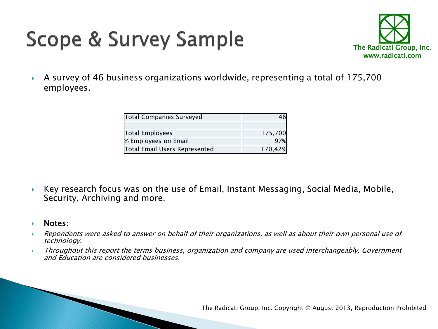## Scope & Survey Sample



 A survey of 46 business organizations worldwide, representing a total of 175,700 employees.

| Total Companies Surveyed      |         |
|-------------------------------|---------|
|                               |         |
| Total Employees               | 175,700 |
| % Employees on Email          | 97%     |
| Total Email Users Represented | 170,429 |

- Key research focus was on the use of Email, Instant Messaging, Social Media, Mobile, Security, Archiving and more.
- **Notes:**
- Repondents were asked to answer on behalf of their organizations, as well as about their own personal use of technology.
- Throughout this report the terms business, organization and company are used interchangeably. Government and Education are considered businesses.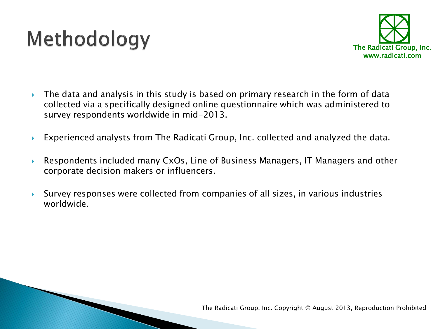### Methodology



- $\triangleright$  The data and analysis in this study is based on primary research in the form of data collected via a specifically designed online questionnaire which was administered to survey respondents worldwide in mid-2013.
- Experienced analysts from The Radicati Group, Inc. collected and analyzed the data.
- Respondents included many CxOs, Line of Business Managers, IT Managers and other corporate decision makers or influencers.
- Survey responses were collected from companies of all sizes, in various industries worldwide.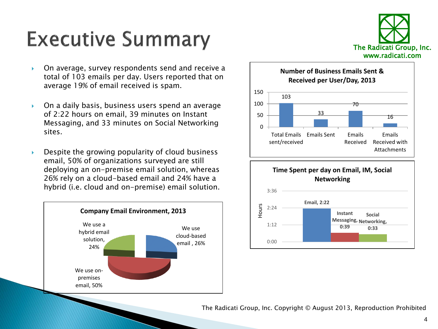### **Executive Summary**



- On average, survey respondents send and receive a total of 103 emails per day. Users reported that on average 19% of email received is spam.
- On a daily basis, business users spend an average of 2:22 hours on email, 39 minutes on Instant Messaging, and 33 minutes on Social Networking sites.
- $\triangleright$  Despite the growing popularity of cloud business email, 50% of organizations surveyed are still deploying an on-premise email solution, whereas 26% rely on a cloud-based email and 24% have a hybrid (i.e. cloud and on-premise) email solution.





### **Time Spent per day on Email, IM, Social Networking**



The Radicati Group, Inc. Copyright © August 2013, Reproduction Prohibited